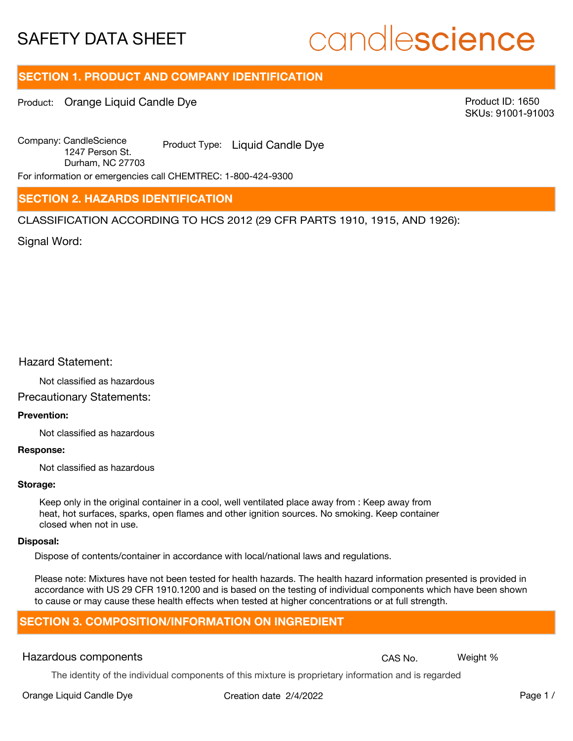# candlescience

# **SECTION 1. PRODUCT AND COMPANY IDENTIFICATION**

Product: Orange Liquid Candle Dye

Product ID: 1650 SKUs: 91001-91003

Company: Candle Science Product Type: Liquid Candle Dye 1247 Person St. Durham, NC 27703

For information or emergencies call CHEMTREC: 1-800-424-9300

## **SECTION 2. HAZARDS IDENTIFICATION**

CLASSIFICATION ACCORDING TO HCS 2012 (29 CFR PARTS 1910, 1915, AND 1926):

Signal Word:

### Hazard Statement:

Not classified as hazardous

Precautionary Statements:

#### **Prevention:**

Not classified as hazardous

#### **Response:**

Not classified as hazardous

#### **Storage:**

Keep only in the original container in a cool, well ventilated place away from : Keep away from heat, hot surfaces, sparks, open flames and other ignition sources. No smoking. Keep container closed when not in use.

#### **Disposal:**

Dispose of contents/container in accordance with local/national laws and regulations.

Please note: Mixtures have not been tested for health hazards. The health hazard information presented is provided in accordance with US 29 CFR 1910.1200 and is based on the testing of individual components which have been shown to cause or may cause these health effects when tested at higher concentrations or at full strength.

# **SECTION 3. COMPOSITION/INFORMATION ON INGREDIENT**

# Hazardous components **CAS No. Weight %** CAS No. Weight %

The identity of the individual components of this mixture is proprietary information and is regarded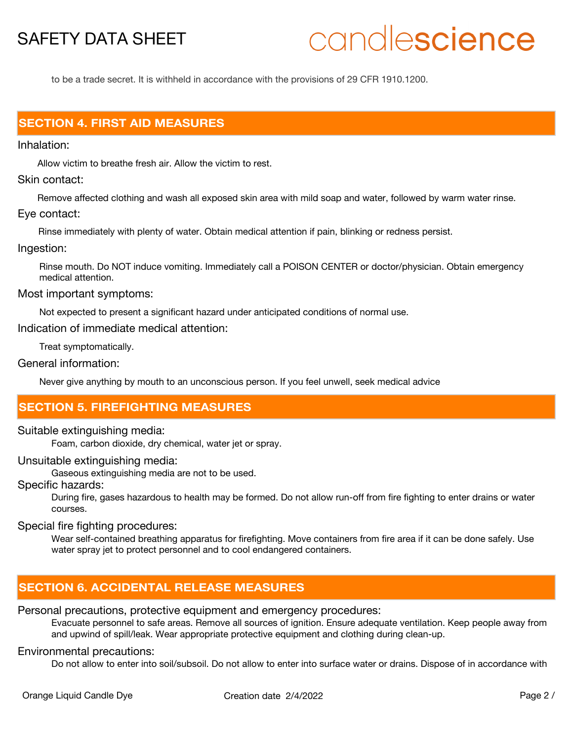# candlescience

to be a trade secret. It is withheld in accordance with the provisions of 29 CFR 1910.1200.

# **SECTION 4. FIRST AID MEASURES**

Inhalation:

Allow victim to breathe fresh air. Allow the victim to rest.

Skin contact:

Remove affected clothing and wash all exposed skin area with mild soap and water, followed by warm water rinse. Eye contact:

Rinse immediately with plenty of water. Obtain medical attention if pain, blinking or redness persist.

#### Ingestion:

Rinse mouth. Do NOT induce vomiting. Immediately call a POISON CENTER or doctor/physician. Obtain emergency medical attention.

Most important symptoms:

Not expected to present a significant hazard under anticipated conditions of normal use.

Indication of immediate medical attention:

Treat symptomatically.

General information:

Never give anything by mouth to an unconscious person. If you feel unwell, seek medical advice

# **SECTION 5. FIREFIGHTING MEASURES**

#### Suitable extinguishing media:

Foam, carbon dioxide, dry chemical, water jet or spray.

Unsuitable extinguishing media:

Gaseous extinguishing media are not to be used.

Specific hazards:

During fire, gases hazardous to health may be formed. Do not allow run-off from fire fighting to enter drains or water courses.

#### Special fire fighting procedures:

Wear self-contained breathing apparatus for firefighting. Move containers from fire area if it can be done safely. Use water spray jet to protect personnel and to cool endangered containers.

# **SECTION 6. ACCIDENTAL RELEASE MEASURES**

Personal precautions, protective equipment and emergency procedures:

Evacuate personnel to safe areas. Remove all sources of ignition. Ensure adequate ventilation. Keep people away from and upwind of spill/leak. Wear appropriate protective equipment and clothing during clean-up.

### Environmental precautions:

Do not allow to enter into soil/subsoil. Do not allow to enter into surface water or drains. Dispose of in accordance with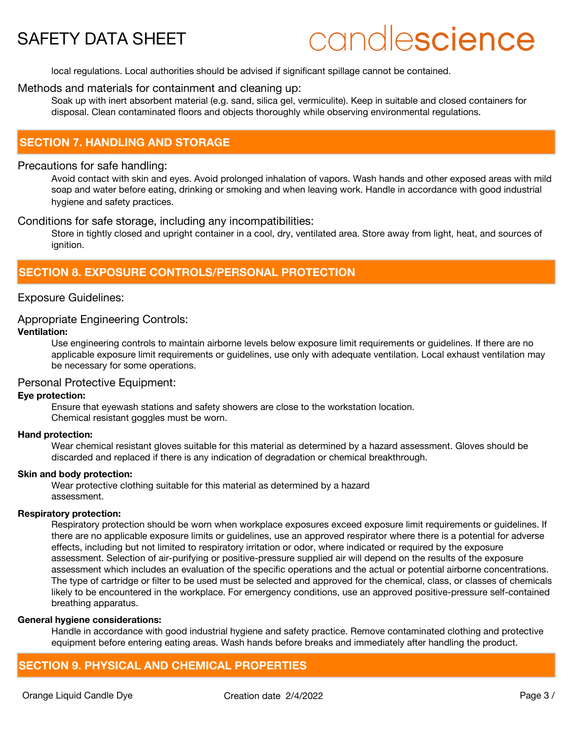# candlescience

local regulations. Local authorities should be advised if significant spillage cannot be contained.

#### Methods and materials for containment and cleaning up:

Soak up with inert absorbent material (e.g. sand, silica gel, vermiculite). Keep in suitable and closed containers for disposal. Clean contaminated floors and objects thoroughly while observing environmental regulations.

## **SECTION 7. HANDLING AND STORAGE**

#### Precautions for safe handling:

Avoid contact with skin and eyes. Avoid prolonged inhalation of vapors. Wash hands and other exposed areas with mild soap and water before eating, drinking or smoking and when leaving work. Handle in accordance with good industrial hygiene and safety practices.

#### Conditions for safe storage, including any incompatibilities:

Store in tightly closed and upright container in a cool, dry, ventilated area. Store away from light, heat, and sources of ignition.

## **SECTION 8. EXPOSURE CONTROLS/PERSONAL PROTECTION**

#### Exposure Guidelines:

### Appropriate Engineering Controls:

#### **Ventilation:**

Use engineering controls to maintain airborne levels below exposure limit requirements or guidelines. If there are no applicable exposure limit requirements or guidelines, use only with adequate ventilation. Local exhaust ventilation may be necessary for some operations.

### Personal Protective Equipment:

#### **Eye protection:**

Ensure that eyewash stations and safety showers are close to the workstation location. Chemical resistant goggles must be worn.

#### **Hand protection:**

Wear chemical resistant gloves suitable for this material as determined by a hazard assessment. Gloves should be discarded and replaced if there is any indication of degradation or chemical breakthrough.

#### **Skin and body protection:**

Wear protective clothing suitable for this material as determined by a hazard assessment.

#### **Respiratory protection:**

Respiratory protection should be worn when workplace exposures exceed exposure limit requirements or guidelines. If there are no applicable exposure limits or guidelines, use an approved respirator where there is a potential for adverse effects, including but not limited to respiratory irritation or odor, where indicated or required by the exposure assessment. Selection of air-purifying or positive-pressure supplied air will depend on the results of the exposure assessment which includes an evaluation of the specific operations and the actual or potential airborne concentrations. The type of cartridge or filter to be used must be selected and approved for the chemical, class, or classes of chemicals likely to be encountered in the workplace. For emergency conditions, use an approved positive-pressure self-contained breathing apparatus.

#### **General hygiene considerations:**

Handle in accordance with good industrial hygiene and safety practice. Remove contaminated clothing and protective equipment before entering eating areas. Wash hands before breaks and immediately after handling the product.

## **SECTION 9. PHYSICAL AND CHEMICAL PROPERTIES**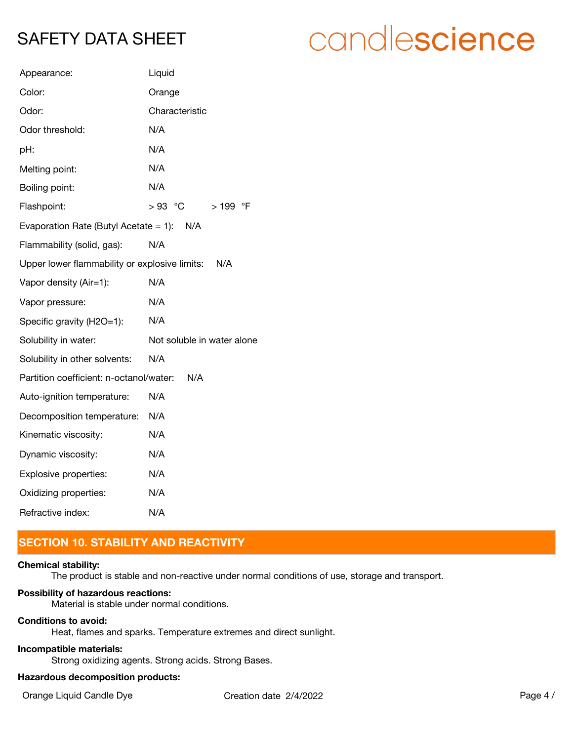# candlescience

| Appearance:                                   | Liquid                     |
|-----------------------------------------------|----------------------------|
| Color:                                        | Orange                     |
| Odor:                                         | Characteristic             |
| Odor threshold:                               | N/A                        |
| pH:                                           | N/A                        |
| Melting point:                                | N/A                        |
| Boiling point:                                | N/A                        |
| Flashpoint:                                   | $>93$ °C<br>$>199$ °F      |
| Evaporation Rate (Butyl Acetate = 1): $N/A$   |                            |
| Flammability (solid, gas):                    | N/A                        |
| Upper lower flammability or explosive limits: | N/A                        |
| Vapor density (Air=1):                        | N/A                        |
| Vapor pressure:                               | N/A                        |
| Specific gravity (H2O=1):                     | N/A                        |
| Solubility in water:                          | Not soluble in water alone |
| Solubility in other solvents:                 | N/A                        |
| Partition coefficient: n-octanol/water:       | N/A                        |
| Auto-ignition temperature:                    | N/A                        |
| Decomposition temperature:                    | N/A                        |
| Kinematic viscosity:                          | N/A                        |
| Dynamic viscosity:                            | N/A                        |
| Explosive properties:                         | N/A                        |
| Oxidizing properties:                         | N/A                        |
| Refractive index:                             | N/A                        |

# **SECTION 10. STABILITY AND REACTIVITY**

### **Chemical stability:**

The product is stable and non-reactive under normal conditions of use, storage and transport.

#### **Possibility of hazardous reactions:**

Material is stable under normal conditions.

#### **Conditions to avoid:**

Heat, flames and sparks. Temperature extremes and direct sunlight.

#### **Incompatible materials:**

Strong oxidizing agents. Strong acids. Strong Bases.

## **Hazardous decomposition products:**

Orange Liquid Candle Dye Creation date  $2/4/2022$  Page 4 /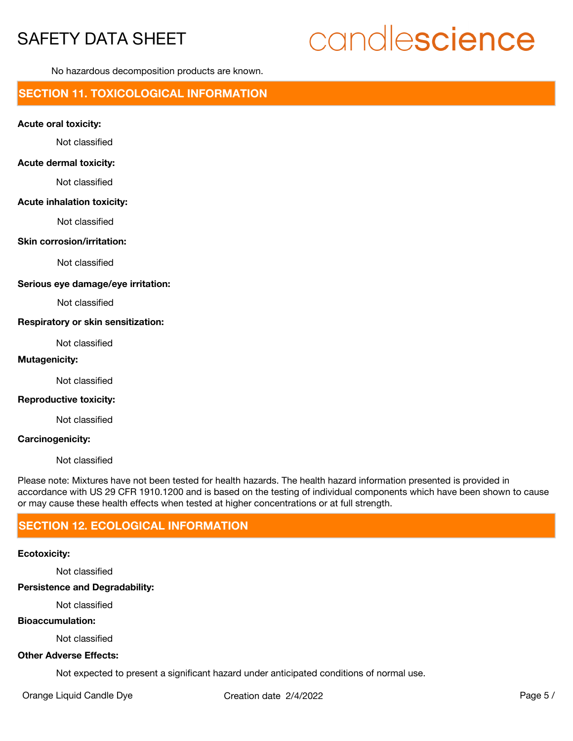# candlescience

No hazardous decomposition products are known.

# **SECTION 11. TOXICOLOGICAL INFORMATION**

#### **Acute oral toxicity:**

Not classified

#### **Acute dermal toxicity:**

Not classified

#### **Acute inhalation toxicity:**

Not classified

#### **Skin corrosion/irritation:**

Not classified

#### **Serious eye damage/eye irritation:**

Not classified

#### **Respiratory or skin sensitization:**

Not classified

#### **Mutagenicity:**

Not classified

#### **Reproductive toxicity:**

Not classified

#### **Carcinogenicity:**

Not classified

Please note: Mixtures have not been tested for health hazards. The health hazard information presented is provided in accordance with US 29 CFR 1910.1200 and is based on the testing of individual components which have been shown to cause or may cause these health effects when tested at higher concentrations or at full strength.

# **SECTION 12. ECOLOGICAL INFORMATION**

#### **Ecotoxicity:**

Not classified

**Persistence and Degradability:**

Not classified

#### **Bioaccumulation:**

Not classified

### **Other Adverse Effects:**

Not expected to present a significant hazard under anticipated conditions of normal use.

Orange Liquid Candle Dye Creation date  $2/4/2022$  Page 5 /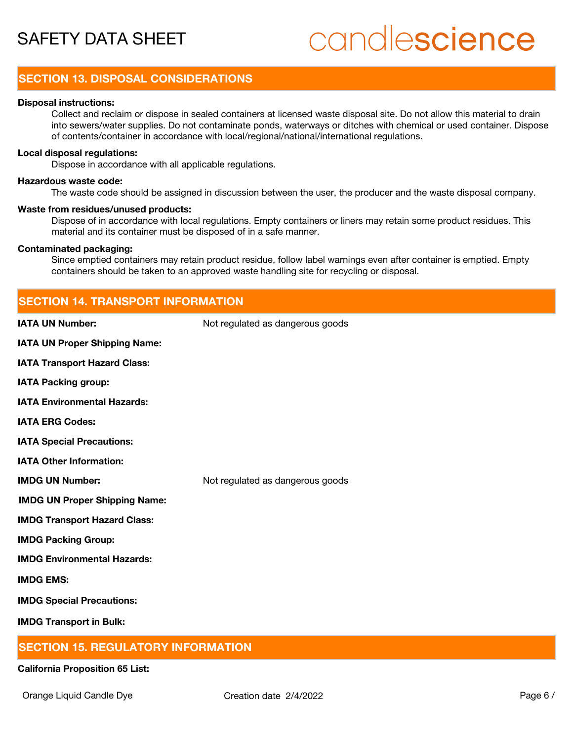# candlescience

# **SECTION 13. DISPOSAL CONSIDERATIONS**

#### **Disposal instructions:**

Collect and reclaim or dispose in sealed containers at licensed waste disposal site. Do not allow this material to drain into sewers/water supplies. Do not contaminate ponds, waterways or ditches with chemical or used container. Dispose of contents/container in accordance with local/regional/national/international regulations.

#### **Local disposal regulations:**

Dispose in accordance with all applicable regulations.

#### **Hazardous waste code:**

The waste code should be assigned in discussion between the user, the producer and the waste disposal company.

#### **Waste from residues/unused products:**

Dispose of in accordance with local regulations. Empty containers or liners may retain some product residues. This material and its container must be disposed of in a safe manner.

#### **Contaminated packaging:**

Since emptied containers may retain product residue, follow label warnings even after container is emptied. Empty containers should be taken to an approved waste handling site for recycling or disposal.

# **SECTION 14. TRANSPORT INFORMATION IATA UN Number:** Not regulated as dangerous goods **IATA UN Proper Shipping Name: IATA Transport Hazard Class: IATA Packing group: IATA Environmental Hazards: IATA ERG Codes: IATA Special Precautions: IATA Other Information: IMDG UN Number:** Not regulated as dangerous goods **IMDG UN Proper Shipping Name: IMDG Transport Hazard Class: IMDG Packing Group: IMDG Environmental Hazards:**

**IMDG EMS:**

**IMDG Special Precautions:**

**IMDG Transport in Bulk:**

# **SECTION 15. REGULATORY INFORMATION**

#### **California Proposition 65 List:**